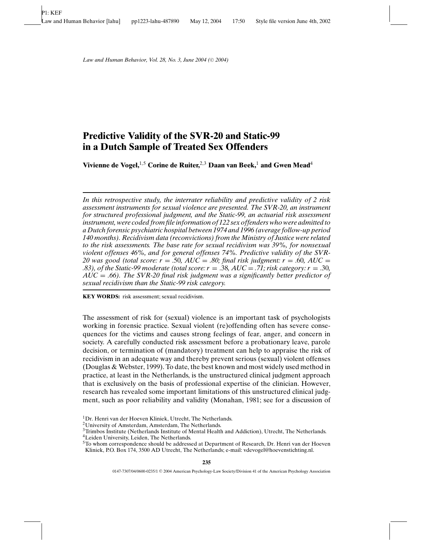# **Predictive Validity of the SVR-20 and Static-99 in a Dutch Sample of Treated Sex Offenders**

**Vivienne de Vogel,**1,5 **Corine de Ruiter,**2,3 **Daan van Beek,**<sup>1</sup> **and Gwen Mead**<sup>4</sup>

*In this retrospective study, the interrater reliability and predictive validity of 2 risk assessment instruments for sexual violence are presented. The SVR-20, an instrument for structured professional judgment, and the Static-99, an actuarial risk assessment instrument, were coded from file information of 122 sex offenders who were admitted to a Dutch forensic psychiatric hospital between 1974 and 1996 (average follow-up period 140 months). Recidivism data (reconvictions) from the Ministry of Justice were related to the risk assessments. The base rate for sexual recidivism was 39%, for nonsexual violent offenses 46%, and for general offenses 74%. Predictive validity of the SVR-*20 was good (total score:  $r = .50$ ,  $AUC = .80$ ; final risk judgment:  $r = .60$ ,  $AUC =$ *a.83), of the Static-99 moderate (total score: r = .38, AUC = .71; risk category: r = .30, AUC* = *.66). The SVR-20 final risk judgment was a significantly better predictor of sexual recidivism than the Static-99 risk category.*

**KEY WORDS:** risk assessment; sexual recidivism.

The assessment of risk for (sexual) violence is an important task of psychologists working in forensic practice. Sexual violent (re)offending often has severe consequences for the victims and causes strong feelings of fear, anger, and concern in society. A carefully conducted risk assessment before a probationary leave, parole decision, or termination of (mandatory) treatment can help to appraise the risk of recidivism in an adequate way and thereby prevent serious (sexual) violent offenses (Douglas & Webster, 1999). To date, the best known and most widely used method in practice, at least in the Netherlands, is the unstructured clinical judgment approach that is exclusively on the basis of professional expertise of the clinician. However, research has revealed some important limitations of this unstructured clinical judgment, such as poor reliability and validity (Monahan, 1981; see for a discussion of

<sup>&</sup>lt;sup>1</sup>Dr. Henri van der Hoeven Kliniek, Utrecht, The Netherlands.

<sup>2</sup>University of Amsterdam, Amsterdam, The Netherlands.

<sup>&</sup>lt;sup>3</sup>Trimbos Institute (Netherlands Institute of Mental Health and Addiction), Utrecht, The Netherlands.

<sup>4</sup>Leiden University, Leiden, The Netherlands.

<sup>5</sup>To whom correspondence should be addressed at Department of Research, Dr. Henri van der Hoeven Kliniek, P.O. Box 174, 3500 AD Utrecht, The Netherlands; e-mail: vdevogel@hoevenstichting.nl.

<sup>0147-7307/04/0600-0235/1 © 2004</sup> American Psychology-Law Society/Division 41 of the American Psychology Association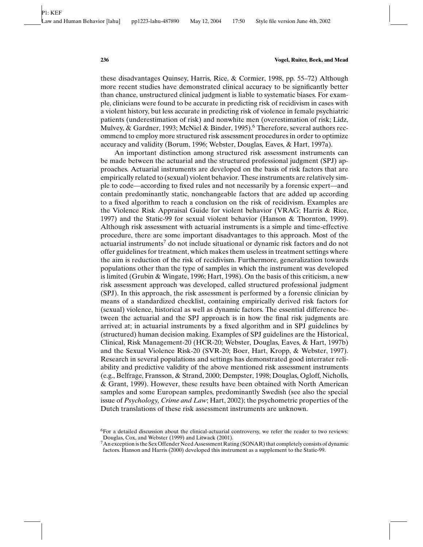these disadvantages Quinsey, Harris, Rice, & Cormier, 1998, pp. 55–72) Although more recent studies have demonstrated clinical accuracy to be significantly better than chance, unstructured clinical judgment is liable to systematic biases. For example, clinicians were found to be accurate in predicting risk of recidivism in cases with a violent history, but less accurate in predicting risk of violence in female psychiatric patients (underestimation of risk) and nonwhite men (overestimation of risk; Lidz, Mulvey, & Gardner, 1993; McNiel & Binder, 1995).<sup>6</sup> Therefore, several authors recommend to employ more structured risk assessment procedures in order to optimize accuracy and validity (Borum, 1996; Webster, Douglas, Eaves, & Hart, 1997a).

An important distinction among structured risk assessment instruments can be made between the actuarial and the structured professional judgment (SPJ) approaches. Actuarial instruments are developed on the basis of risk factors that are empirically related to (sexual) violent behavior. These instruments are relatively simple to code—according to fixed rules and not necessarily by a forensic expert—and contain predominantly static, nonchangeable factors that are added up according to a fixed algorithm to reach a conclusion on the risk of recidivism. Examples are the Violence Risk Appraisal Guide for violent behavior (VRAG; Harris & Rice, 1997) and the Static-99 for sexual violent behavior (Hanson & Thornton, 1999). Although risk assessment with actuarial instruments is a simple and time-effective procedure, there are some important disadvantages to this approach. Most of the  $\alpha$  actuarial instruments<sup>7</sup> do not include situational or dynamic risk factors and do not offer guidelines for treatment, which makes them useless in treatment settings where the aim is reduction of the risk of recidivism. Furthermore, generalization towards populations other than the type of samples in which the instrument was developed is limited (Grubin & Wingate, 1996; Hart, 1998). On the basis of this criticism, a new risk assessment approach was developed, called structured professional judgment (SPJ). In this approach, the risk assessment is performed by a forensic clinician by means of a standardized checklist, containing empirically derived risk factors for (sexual) violence, historical as well as dynamic factors. The essential difference between the actuarial and the SPJ approach is in how the final risk judgments are arrived at; in actuarial instruments by a fixed algorithm and in SPJ guidelines by (structured) human decision making. Examples of SPJ guidelines are the Historical, Clinical, Risk Management-20 (HCR-20; Webster, Douglas, Eaves, & Hart, 1997b) and the Sexual Violence Risk-20 (SVR-20; Boer, Hart, Kropp, & Webster, 1997). Research in several populations and settings has demonstrated good interrater reliability and predictive validity of the above mentioned risk assessment instruments (e.g., Belfrage, Fransson, & Strand, 2000; Dempster, 1998; Douglas, Ogloff, Nicholls, & Grant, 1999). However, these results have been obtained with North American samples and some European samples, predominantly Swedish (see also the special issue of *Psychology, Crime and Law*; Hart, 2002); the psychometric properties of the Dutch translations of these risk assessment instruments are unknown.

 $6$ For a detailed discussion about the clinical-actuarial controversy, we refer the reader to two reviews: Douglas, Cox, and Webster (1999) and Litwack (2001).

<sup>&</sup>lt;sup>7</sup> An exception is the Sex Offender Need Assessment Rating (SONAR) that completely consists of dynamic factors. Hanson and Harris (2000) developed this instrument as a supplement to the Static-99.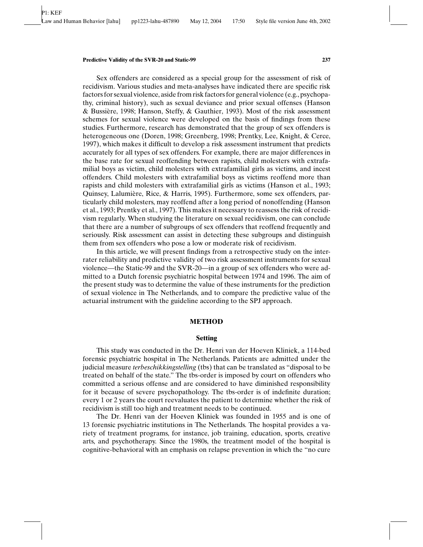#### **Predictive Validity of the SVR-20 and Static-99 237**

Sex offenders are considered as a special group for the assessment of risk of recidivism. Various studies and meta-analyses have indicated there are specific risk factors for sexual violence, aside from risk factors for general violence (e.g., psychopathy, criminal history), such as sexual deviance and prior sexual offenses (Hanson & Bussi`ere, 1998; Hanson, Steffy, & Gauthier, 1993). Most of the risk assessment schemes for sexual violence were developed on the basis of findings from these studies. Furthermore, research has demonstrated that the group of sex offenders is heterogeneous one (Doren, 1998; Greenberg, 1998; Prentky, Lee, Knight, & Cerce, 1997), which makes it difficult to develop a risk assessment instrument that predicts accurately for all types of sex offenders. For example, there are major differences in the base rate for sexual reoffending between rapists, child molesters with extrafamilial boys as victim, child molesters with extrafamilial girls as victims, and incest offenders. Child molesters with extrafamilial boys as victims reoffend more than rapists and child molesters with extrafamilial girls as victims (Hanson et al., 1993; Quinsey, Lalumière, Rice, & Harris, 1995). Furthermore, some sex offenders, particularly child molesters, may reoffend after a long period of nonoffending (Hanson et al., 1993; Prentky et al., 1997). This makes it necessary to reassess the risk of recidivism regularly. When studying the literature on sexual recidivism, one can conclude that there are a number of subgroups of sex offenders that reoffend frequently and seriously. Risk assessment can assist in detecting these subgroups and distinguish them from sex offenders who pose a low or moderate risk of recidivism.

In this article, we will present findings from a retrospective study on the interrater reliability and predictive validity of two risk assessment instruments for sexual violence—the Static-99 and the SVR-20—in a group of sex offenders who were admitted to a Dutch forensic psychiatric hospital between 1974 and 1996. The aim of the present study was to determine the value of these instruments for the prediction of sexual violence in The Netherlands, and to compare the predictive value of the actuarial instrument with the guideline according to the SPJ approach.

## **METHOD**

## **Setting**

This study was conducted in the Dr. Henri van der Hoeven Kliniek, a 114-bed forensic psychiatric hospital in The Netherlands. Patients are admitted under the judicial measure *terbeschikkingstelling* (tbs) that can be translated as "disposal to be treated on behalf of the state." The tbs-order is imposed by court on offenders who committed a serious offense and are considered to have diminished responsibility for it because of severe psychopathology. The tbs-order is of indefinite duration; every 1 or 2 years the court reevaluates the patient to determine whether the risk of recidivism is still too high and treatment needs to be continued.

The Dr. Henri van der Hoeven Kliniek was founded in 1955 and is one of 13 forensic psychiatric institutions in The Netherlands. The hospital provides a variety of treatment programs, for instance, job training, education, sports, creative arts, and psychotherapy. Since the 1980s, the treatment model of the hospital is cognitive-behavioral with an emphasis on relapse prevention in which the "no cure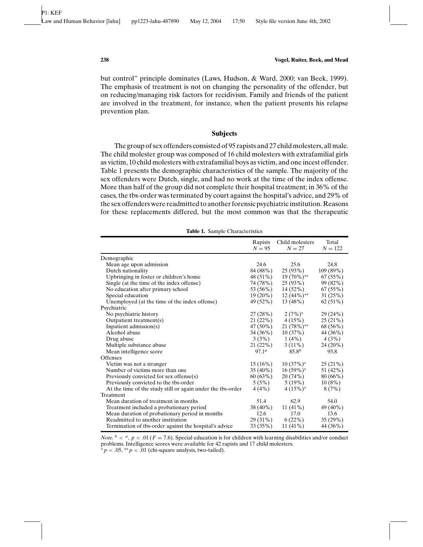but control" principle dominates (Laws, Hudson, & Ward, 2000; van Beek, 1999). The emphasis of treatment is not on changing the personality of the offender, but on reducing/managing risk factors for recidivism. Family and friends of the patient are involved in the treatment, for instance, when the patient presents his relapse prevention plan.

#### **Subjects**

The group of sex offenders consisted of 95 rapists and 27 child molesters, all male. The child molester group was composed of 16 child molesters with extrafamilial girls as victim, 10 child molesters with extrafamilial boys as victim, and one incest offender. Table 1 presents the demographic characteristics of the sample. The majority of the sex offenders were Dutch, single, and had no work at the time of the index offense. More than half of the group did not complete their hospital treatment; in 36% of the cases, the tbs-order was terminated by court against the hospital's advice, and 29% of the sex offenders were readmitted to another forensic psychiatric institution. Reasons for these replacements differed, but the most common was that the therapeutic

|                                                             | Rapists<br>$N = 95$ | Child molesters<br>$N = 27$ | Total<br>$N = 122$ |
|-------------------------------------------------------------|---------------------|-----------------------------|--------------------|
| Demographic                                                 |                     |                             |                    |
| Mean age upon admission                                     | 24.6                | 25.6                        | 24.8               |
| Dutch nationality                                           | 84 (88%)            | 25(93%)                     | 109 (89%)          |
| Upbringing in foster or children's home                     | 48 (51%)            | 19 (70%)**                  | 67(55%)            |
| Single (at the time of the index offense)                   | 74 (78%)            | 25(93%)                     | 99 (82%)           |
| No education after primary school                           | 53 (56%)            | 14 (52%)                    | 67(55%)            |
| Special education                                           | $19(20\%)$          | $12(44\%)$ <sup>**</sup>    | 31(25%)            |
| Unemployed (at the time of the index offense)               | 49 (52%)            | 13(48%)                     | $62(51\%)$         |
| Psychiatric                                                 |                     |                             |                    |
| No psychiatric history                                      | 27(28%)             | $2(7%)^*$                   | 29 (24%)           |
| Outpatient treatment(s)                                     | 21(22%)             | 4(15%)                      | 25(21%)            |
| Inpatient admission $(s)$                                   | 47 (50%)            | $21(78\%)^{**}$             | 68 (56%)           |
| Alcohol abuse                                               | $34(36\%)$          | 10(37%)                     | 44 (36%)           |
| Drug abuse                                                  | 3(3%)               | 1(4%)                       | 4(3%)              |
| Multiple substance abuse                                    | 21(22%)             | $3(11\%)$                   | 24 (20%)           |
| Mean intelligence score                                     | 97.1 <sup>a</sup>   | $85.8^{b}$                  | 93.8               |
| <b>Offenses</b>                                             |                     |                             |                    |
| Victim was not a stranger                                   | $15(16\%)$          | $10(37\%)^*$                | 25(21%)            |
| Number of victims more than one.                            | $35(40\%)$          | $16(59\%)^*$                | 51 (42%)           |
| Previously convicted for sex offense(s)                     | 60(63%)             | 20(74%)                     | 80(66%)            |
| Previously convicted to the tbs-order                       | 5(5%)               | $5(19\%)$                   | 10(8%)             |
| At the time of the study still or again under the tbs-order | 4(4%)               | $4(15\%)^*$                 | 8(7%)              |
| Treatment                                                   |                     |                             |                    |
| Mean duration of treatment in months                        | 51.4                | 62.9                        | 54.0               |
| Treatment included a probationary period                    | $38(40\%)$          | $11(41\%)$                  | 49 (40%)           |
| Mean duration of probationary period in months              | 12.6                | 17.0                        | 13.6               |
| Readmitted to another institution                           | $29(31\%)$          | $6(22\%)$                   | 35(29%)            |
| Termination of tbs-order against the hospital's advice      | 33 (35%)            | $11(41\%)$                  | 44 (36%)           |

**Table 1.** Sample Characteristics

*Note.*  $b < a$ ,  $p < 0.01$  ( $F = 7.6$ ). Special education is for children with learning disabilities and/or conduct problems. Intelligence scores were available for 42 rapists and 17 child molesters.  $\hat{\phi}_p$  < .05, \*\* *p* < .01 (chi-square analysis, two-tailed).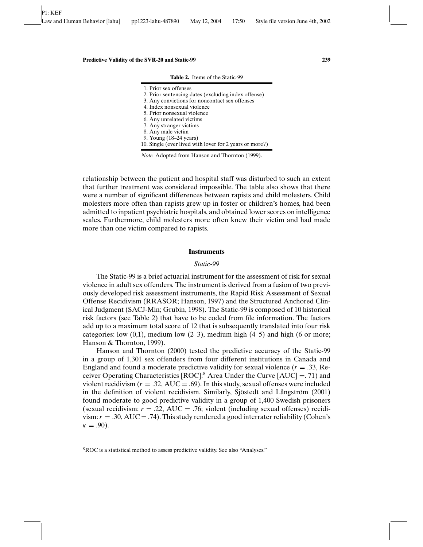| 1. Prior sex offenses<br>2. Prior sentencing dates (excluding index offense) |
|------------------------------------------------------------------------------|
| 3. Any convictions for noncontact sex offenses                               |
| 4. Index nonsexual violence                                                  |
| 5. Prior nonsexual violence                                                  |
| 6. Any unrelated victims                                                     |
| 7. Any stranger victims                                                      |
| 8. Any male victim                                                           |
| 9. Young (18–24 years)                                                       |
| 10. Single (ever lived with lover for 2 years or more?)                      |

**Table 2.** Items of the Static-99

*Note.* Adopted from Hanson and Thornton (1999).

relationship between the patient and hospital staff was disturbed to such an extent that further treatment was considered impossible. The table also shows that there were a number of significant differences between rapists and child molesters. Child molesters more often than rapists grew up in foster or children's homes, had been admitted to inpatient psychiatric hospitals, and obtained lower scores on intelligence scales. Furthermore, child molesters more often knew their victim and had made more than one victim compared to rapists.

#### **Instruments**

#### *Static-99*

The Static-99 is a brief actuarial instrument for the assessment of risk for sexual violence in adult sex offenders. The instrument is derived from a fusion of two previously developed risk assessment instruments, the Rapid Risk Assessment of Sexual Offense Recidivism (RRASOR; Hanson, 1997) and the Structured Anchored Clinical Judgment (SACJ-Min; Grubin, 1998). The Static-99 is composed of 10 historical risk factors (see Table 2) that have to be coded from file information. The factors add up to a maximum total score of 12 that is subsequently translated into four risk categories: low  $(0,1)$ , medium low  $(2-3)$ , medium high  $(4-5)$  and high  $(6 \text{ or more})$ ; Hanson & Thornton, 1999).

Hanson and Thornton (2000) tested the predictive accuracy of the Static-99 in a group of 1,301 sex offenders from four different institutions in Canada and England and found a moderate predictive validity for sexual violence  $(r = .33, Re$ ceiver Operating Characteristics  $[ROC]$ :<sup>8</sup> Area Under the Curve  $[AUC] = .71$ ) and violent recidivism  $(r = .32, \text{AUC} = .69)$ . In this study, sexual offenses were included in the definition of violent recidivism. Similarly, Sjöstedt and Långström (2001) found moderate to good predictive validity in a group of 1,400 Swedish prisoners (sexual recidivism:  $r = .22$ , AUC = .76; violent (including sexual offenses) recidivism:  $r = .30$ ,  $AUC = .74$ ). This study rendered a good interrater reliability (Cohen's  $\kappa = .90$ ).

8ROC is a statistical method to assess predictive validity. See also "Analyses."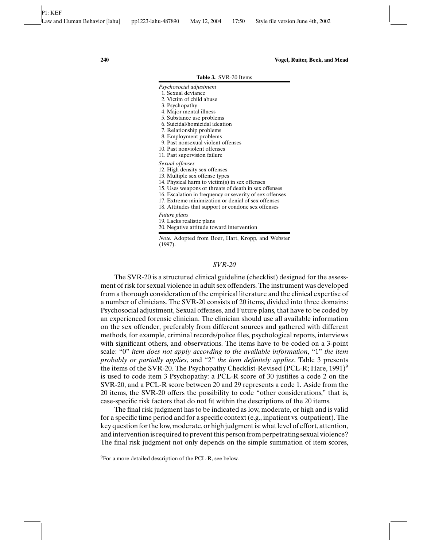**Table 3.** SVR-20 Items

| Psychosocial adjustment |  |
|-------------------------|--|
|-------------------------|--|

- 1. Sexual deviance 2. Victim of child abuse
- 3. Psychopathy
- 
- 4. Major mental illness
- 5. Substance use problems 6. Suicidal/homicidal ideation
- 7. Relationship problems
- 8. Employment problems
- 9. Past nonsexual violent offenses
- 10. Past nonviolent offenses
- 11. Past supervision failure

#### *Sexual offenses*

- 12. High density sex offenses
- 13. Multiple sex offense types
- 14. Physical harm to victim(s) in sex offenses
- 15. Uses weapons or threats of death in sex offenses
- 16. Escalation in frequency or severity of sex offenses
- 17. Extreme minimization or denial of sex offenses
- 18. Attitudes that support or condone sex offenses

#### *Future plans*

19. Lacks realistic plans

20. Negative attitude toward intervention

*Note.* Adopted from Boer, Hart, Kropp, and Webster (1997).

# *SVR-20*

The SVR-20 is a structured clinical guideline (checklist) designed for the assessment of risk for sexual violence in adult sex offenders. The instrument was developed from a thorough consideration of the empirical literature and the clinical expertise of a number of clinicians. The SVR-20 consists of 20 items, divided into three domains: Psychosocial adjustment, Sexual offenses, and Future plans, that have to be coded by an experienced forensic clinician. The clinician should use all available information on the sex offender, preferably from different sources and gathered with different methods, for example, criminal records/police files, psychological reports, interviews with significant others, and observations. The items have to be coded on a 3-point scale: "0" *item does not apply according to the available information*, "1" *the item probably or partially applies*, and "2" *the item definitely applies*. Table 3 presents the items of the SVR-20. The Psychopathy Checklist-Revised (PCL-R; Hare, 1991)<sup>9</sup> is used to code item 3 Psychopathy: a PCL-R score of 30 justifies a code 2 on the SVR-20, and a PCL-R score between 20 and 29 represents a code 1. Aside from the 20 items, the SVR-20 offers the possibility to code "other considerations," that is, case-specific risk factors that do not fit within the descriptions of the 20 items.

The final risk judgment has to be indicated as low, moderate, or high and is valid for a specific time period and for a specific context (e.g., inpatient vs. outpatient). The key question for the low, moderate, or high judgment is: what level of effort, attention, and intervention is required to prevent this person from perpetrating sexual violence? The final risk judgment not only depends on the simple summation of item scores,

 $9^9$ For a more detailed description of the PCL-R, see below.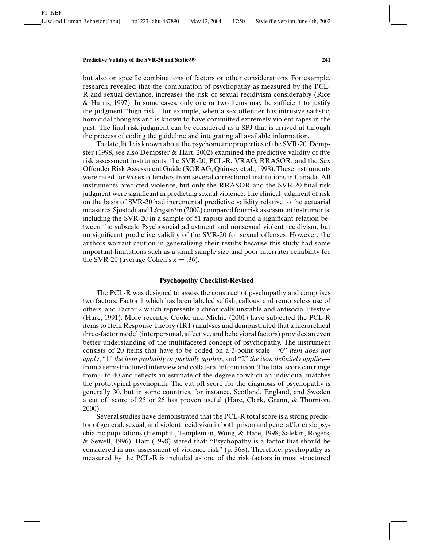#### **Predictive Validity of the SVR-20 and Static-99 241**

but also on specific combinations of factors or other considerations. For example, research revealed that the combination of psychopathy as measured by the PCL-R and sexual deviance, increases the risk of sexual recidivism considerably (Rice & Harris, 1997). In some cases, only one or two items may be sufficient to justify the judgment "high risk," for example, when a sex offender has intrusive sadistic, homicidal thoughts and is known to have committed extremely violent rapes in the past. The final risk judgment can be considered as a SPJ that is arrived at through the process of coding the guideline and integrating all available information.

To date, little is known about the psychometric properties of the SVR-20. Dempster (1998, see also Dempster & Hart, 2002) examined the predictive validity of five risk assessment instruments: the SVR-20, PCL-R, VRAG, RRASOR, and the Sex Offender Risk Assessment Guide (SORAG; Quinsey et al., 1998). These instruments were rated for 95 sex offenders from several correctional institutions in Canada. All instruments predicted violence, but only the RRASOR and the SVR-20 final risk judgment were significant in predicting sexual violence. The clinical judgment of risk on the basis of SVR-20 had incremental predictive validity relative to the actuarial measures. Sjöstedt and Långström (2002) compared four risk assessment instruments, including the SVR-20 in a sample of 51 rapists and found a significant relation between the subscale Psychosocial adjustment and nonsexual violent recidivism, but no significant predictive validity of the SVR-20 for sexual offenses. However, the authors warrant caution in generalizing their results because this study had some important limitations such as a small sample size and poor interrater reliability for the SVR-20 (average Cohen's  $\kappa = .36$ ).

# **Psychopathy Checklist-Revised**

The PCL-R was designed to assess the construct of psychopathy and comprises two factors: Factor 1 which has been labeled selfish, callous, and remorseless use of others, and Factor 2 which represents a chronically unstable and antisocial lifestyle (Hare, 1991). More recently, Cooke and Michie (2001) have subjected the PCL-R items to Item Response Theory (IRT) analyses and demonstrated that a hierarchical three-factor model (interpersonal, affective, and behavioral factors) provides an even better understanding of the multifaceted concept of psychopathy. The instrument consists of 20 items that have to be coded on a 3-point scale—"0" *item does not apply*, "1" *the item probably or partially applies*, and "2" *the item definitely applies* from a semistructured interview and collateral information. The total score can range from 0 to 40 and reflects an estimate of the degree to which an individual matches the prototypical psychopath. The cut off score for the diagnosis of psychopathy is generally 30, but in some countries, for instance, Scotland, England, and Sweden a cut off score of 25 or 26 has proven useful (Hare, Clark, Grann, & Thornton, 2000).

Several studies have demonstrated that the PCL-R total score is a strong predictor of general, sexual, and violent recidivism in both prison and general/forensic psychiatric populations (Hemphill, Templeman, Wong, & Hare, 1998; Salekin, Rogers, & Sewell, 1996). Hart (1998) stated that: "Psychopathy is a factor that should be considered in any assessment of violence risk" (p. 368). Therefore, psychopathy as measured by the PCL-R is included as one of the risk factors in most structured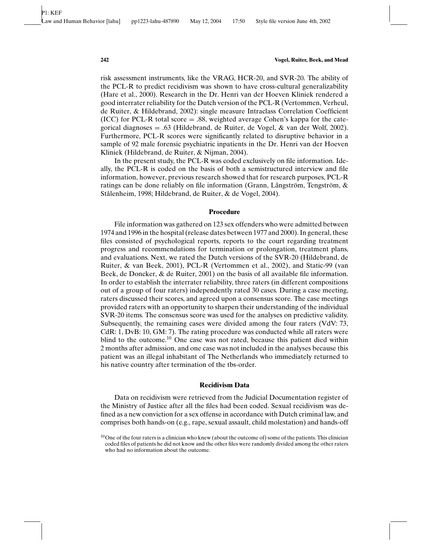risk assessment instruments, like the VRAG, HCR-20, and SVR-20. The ability of the PCL-R to predict recidivism was shown to have cross-cultural generalizability (Hare et al., 2000). Research in the Dr. Henri van der Hoeven Kliniek rendered a good interrater reliability for the Dutch version of the PCL-R (Vertommen, Verheul, de Ruiter, & Hildebrand, 2002): single measure Intraclass Correlation Coefficient (ICC) for PCL-R total score  $= .88$ , weighted average Cohen's kappa for the categorical diagnoses = .63 (Hildebrand, de Ruiter, de Vogel,  $\&$  van der Wolf, 2002). Furthermore, PCL-R scores were significantly related to disruptive behavior in a sample of 92 male forensic psychiatric inpatients in the Dr. Henri van der Hoeven Kliniek (Hildebrand, de Ruiter, & Nijman, 2004).

In the present study, the PCL-R was coded exclusively on file information. Ideally, the PCL-R is coded on the basis of both a semistructured interview and file information, however, previous research showed that for research purposes, PCL-R ratings can be done reliably on file information (Grann, Långström, Tengström,  $\&$ Stålenheim, 1998; Hildebrand, de Ruiter, & de Vogel, 2004).

#### **Procedure**

File information was gathered on 123 sex offenders who were admitted between 1974 and 1996 in the hospital (release dates between 1977 and 2000). In general, these files consisted of psychological reports, reports to the court regarding treatment progress and recommendations for termination or prolongation, treatment plans, and evaluations. Next, we rated the Dutch versions of the SVR-20 (Hildebrand, de Ruiter, & van Beek, 2001), PCL-R (Vertommen et al., 2002), and Static-99 (van Beek, de Doncker, & de Ruiter, 2001) on the basis of all available file information. In order to establish the interrater reliability, three raters (in different compositions out of a group of four raters) independently rated 30 cases. During a case meeting, raters discussed their scores, and agreed upon a consensus score. The case meetings provided raters with an opportunity to sharpen their understanding of the individual SVR-20 items. The consensus score was used for the analyses on predictive validity. Subsequently, the remaining cases were divided among the four raters (VdV: 73, CdR: 1, DvB: 10, GM: 7). The rating procedure was conducted while all raters were blind to the outcome.<sup>10</sup> One case was not rated, because this patient died within 2 months after admission, and one case was not included in the analyses because this patient was an illegal inhabitant of The Netherlands who immediately returned to his native country after termination of the tbs-order.

#### **Recidivism Data**

Data on recidivism were retrieved from the Judicial Documentation register of the Ministry of Justice after all the files had been coded. Sexual recidivism was defined as a new conviction for a sex offense in accordance with Dutch criminal law, and comprises both hands-on (e.g., rape, sexual assault, child molestation) and hands-off

 $10$ One of the four raters is a clinician who knew (about the outcome of) some of the patients. This clinician coded files of patients he did not know and the other files were randomly divided among the other raters who had no information about the outcome.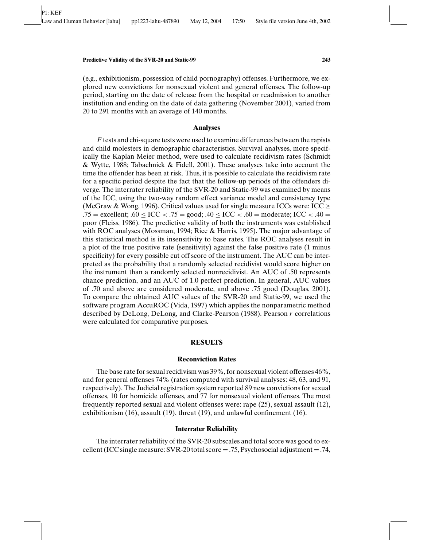(e.g., exhibitionism, possession of child pornography) offenses. Furthermore, we explored new convictions for nonsexual violent and general offenses. The follow-up period, starting on the date of release from the hospital or readmission to another institution and ending on the date of data gathering (November 2001), varied from 20 to 291 months with an average of 140 months.

# **Analyses**

*F* tests and chi-square tests were used to examine differences between the rapists and child molesters in demographic characteristics. Survival analyses, more specifically the Kaplan Meier method, were used to calculate recidivism rates (Schmidt & Wytte, 1988; Tabachnick & Fidell, 2001). These analyses take into account the time the offender has been at risk. Thus, it is possible to calculate the recidivism rate for a specific period despite the fact that the follow-up periods of the offenders diverge. The interrater reliability of the SVR-20 and Static-99 was examined by means of the ICC, using the two-way random effect variance model and consistency type (McGraw & Wong, 1996). Critical values used for single measure ICCs were: ICC  $\geq$ .75 = excellent; .60  $\leq$  ICC  $<$  .75 = good; .40  $\leq$  ICC  $<$  .60 = moderate; ICC  $<$  .40 = poor (Fleiss, 1986). The predictive validity of both the instruments was established with ROC analyses (Mossman, 1994; Rice & Harris, 1995). The major advantage of this statistical method is its insensitivity to base rates. The ROC analyses result in a plot of the true positive rate (sensitivity) against the false positive rate (1 minus specificity) for every possible cut off score of the instrument. The AUC can be interpreted as the probability that a randomly selected recidivist would score higher on the instrument than a randomly selected nonrecidivist. An AUC of .50 represents chance prediction, and an AUC of 1.0 perfect prediction. In general, AUC values of .70 and above are considered moderate, and above .75 good (Douglas, 2001). To compare the obtained AUC values of the SVR-20 and Static-99, we used the software program AccuROC (Vida, 1997) which applies the nonparametric method described by DeLong, DeLong, and Clarke-Pearson (1988). Pearson *r* correlations were calculated for comparative purposes.

# **RESULTS**

#### **Reconviction Rates**

The base rate for sexual recidivism was 39%, for nonsexual violent offenses 46%, and for general offenses 74% (rates computed with survival analyses: 48, 63, and 91, respectively). The Judicial registration system reported 89 new convictions for sexual offenses, 10 for homicide offenses, and 77 for nonsexual violent offenses. The most frequently reported sexual and violent offenses were: rape (25), sexual assault (12), exhibitionism (16), assault (19), threat (19), and unlawful confinement (16).

# **Interrater Reliability**

The interrater reliability of the SVR-20 subscales and total score was good to excellent (ICC single measure: SVR-20 total score  $= .75$ , Psychosocial adjustment  $= .74$ ,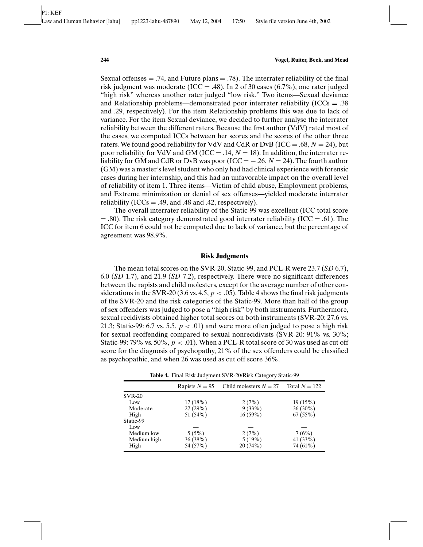Sexual offenses  $= .74$ , and Future plans  $= .78$ ). The interrater reliability of the final risk judgment was moderate (ICC = .48). In 2 of 30 cases (6.7%), one rater judged "high risk" whereas another rater judged "low risk." Two items—Sexual deviance and Relationship problems—demonstrated poor interrater reliability ( $ICCs = .38$ ) and .29, respectively). For the item Relationship problems this was due to lack of variance. For the item Sexual deviance, we decided to further analyse the interrater reliability between the different raters. Because the first author (VdV) rated most of the cases, we computed ICCs between her scores and the scores of the other three raters. We found good reliability for VdV and CdR or DvB (ICC = .68,  $N = 24$ ), but poor reliability for VdV and GM (ICC  $=$  .14,  $N = 18$ ). In addition, the interrater reliability for GM and CdR or DvB was poor ( $\text{ICC} = -.26, N = 24$ ). The fourth author (GM) was a master's level student who only had had clinical experience with forensic cases during her internship, and this had an unfavorable impact on the overall level of reliability of item 1. Three items—Victim of child abuse, Employment problems, and Extreme minimization or denial of sex offenses—yielded moderate interrater reliability (ICCs = .49, and .48 and .42, respectively).

The overall interrater reliability of the Static-99 was excellent (ICC total score  $=$  .80). The risk category demonstrated good interrater reliability (ICC  $=$  .61). The ICC for item 6 could not be computed due to lack of variance, but the percentage of agreement was 98.9%.

## **Risk Judgments**

The mean total scores on the SVR-20, Static-99, and PCL-R were 23.7 (*SD* 6.7), 6.0 (*SD* 1.7), and 21.9 (*SD* 7.2), respectively. There were no significant differences between the rapists and child molesters, except for the average number of other considerations in the SVR-20 (3.6 vs. 4.5,  $p < .05$ ). Table 4 shows the final risk judgments of the SVR-20 and the risk categories of the Static-99. More than half of the group of sex offenders was judged to pose a "high risk" by both instruments. Furthermore, sexual recidivists obtained higher total scores on both instruments (SVR-20: 27.6 vs. 21.3; Static-99: 6.7 vs. 5.5,  $p < .01$ ) and were more often judged to pose a high risk for sexual reoffending compared to sexual nonrecidivists (SVR-20: 91% vs. 30%; Static-99: 79% vs. 50%,  $p < .01$ ). When a PCL-R total score of 30 was used as cut off score for the diagnosis of psychopathy, 21% of the sex offenders could be classified as psychopathic, and when 26 was used as cut off score 36%.

|               | Rapists $N = 95$ | Child molesters $N = 27$ | Total $N = 122$ |
|---------------|------------------|--------------------------|-----------------|
| <b>SVR-20</b> |                  |                          |                 |
| Low           | 17(18%)          | 2(7%)                    | 19(15%)         |
| Moderate      | 27(29%)          | 9(33%)                   | $36(30\%)$      |
| High          | 51 (54%)         | $16(59\%)$               | 67(55%)         |
| Static-99     |                  |                          |                 |
| Low           |                  |                          |                 |
| Medium low    | 5(5%)            | 2(7%)                    | 7(6%)           |
| Medium high   | 36(38%)          | $5(19\%)$                | 41 (33%)        |
| High          | 54 (57%)         | 20(74%)                  | 74 (61%)        |

**Table 4.** Final Risk Judgment SVR-20/Risk Category Static-99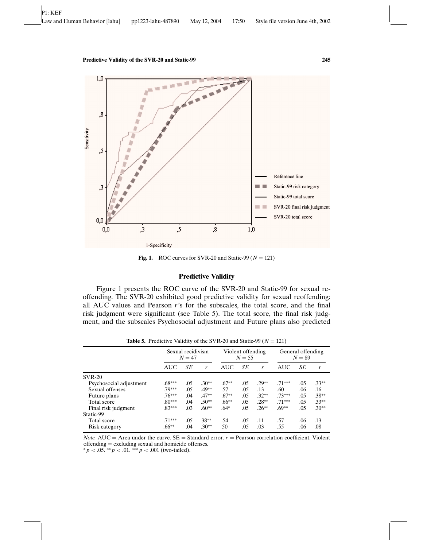

**Fig. 1.** ROC curves for SVR-20 and Static-99 ( $N = 121$ )

# **Predictive Validity**

Figure 1 presents the ROC curve of the SVR-20 and Static-99 for sexual reoffending. The SVR-20 exhibited good predictive validity for sexual reoffending: all AUC values and Pearson *r*'s for the subscales, the total score, and the final risk judgment were significant (see Table 5). The total score, the final risk judgment, and the subscales Psychosocial adjustment and Future plans also predicted

|                         | Sexual recidivism<br>$N = 47$ |     | Violent offending<br>$N = 55$ |            |     | General offending<br>$N = 89$ |            |     |         |
|-------------------------|-------------------------------|-----|-------------------------------|------------|-----|-------------------------------|------------|-----|---------|
|                         | <b>AUC</b>                    | SЕ  | r                             | <b>AUC</b> | SE  | r                             | <b>AUC</b> | SЕ  | r       |
| <b>SVR-20</b>           |                               |     |                               |            |     |                               |            |     |         |
| Psychosocial adjustment | $.68***$                      | .05 | $.30**$                       | $.67**$    | .05 | $.29**$                       | $.71***$   | .05 | $.33**$ |
| Sexual offenses         | .79***                        | .05 | $.49**$                       | .57        | .05 | .13                           | .60        | .06 | .16     |
| Future plans            | $.76***$                      | .04 | $.47**$                       | $.67**$    | .05 | $.32**$                       | $.73***$   | .05 | $.38**$ |
| Total score             | $.80***$                      | .04 | $.50**$                       | $.66***$   | .05 | $.28**$                       | $.71***$   | .05 | $.33**$ |
| Final risk judgment     | $.83***$                      | .03 | $.60**$                       | $.64*$     | .05 | $.26**$                       | $.69**$    | .05 | $.30**$ |
| Static-99               |                               |     |                               |            |     |                               |            |     |         |
| Total score             | $.71***$                      | .05 | $38***$                       | .54        | .05 | .11                           | .57        | .06 | .13     |
| Risk category           | $.66***$                      | .04 | $.30**$                       | 50         | .05 | .03                           | .55        | .06 | .08     |

**Table 5.** Predictive Validity of the SVR-20 and Static-99 ( $N = 121$ )

*Note.* AUC = Area under the curve.  $SE$  = Standard error.  $r$  = Pearson correlation coefficient. Violent offending = excluding sexual and homicide offenses.

 $p \le 0.05$ . ∗ \* *p* < .01. ∗ \* \* *p* < .001 (two-tailed).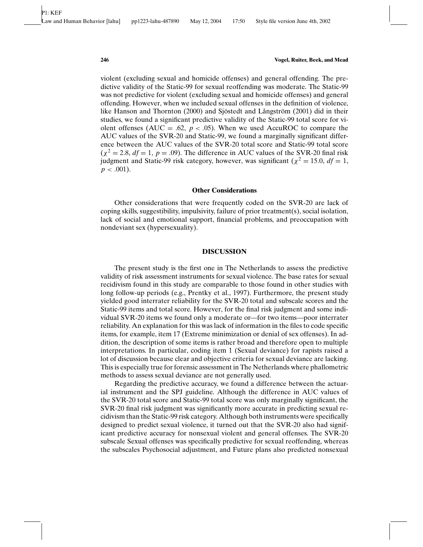violent (excluding sexual and homicide offenses) and general offending. The predictive validity of the Static-99 for sexual reoffending was moderate. The Static-99 was not predictive for violent (excluding sexual and homicide offenses) and general offending. However, when we included sexual offenses in the definition of violence, like Hanson and Thornton (2000) and Sjöstedt and Långström (2001) did in their studies, we found a significant predictive validity of the Static-99 total score for violent offenses (AUC = .62,  $p < .05$ ). When we used AccuROC to compare the AUC values of the SVR-20 and Static-99, we found a marginally significant difference between the AUC values of the SVR-20 total score and Static-99 total score  $(\chi^2 = 2.8, df = 1, p = .09)$ . The difference in AUC values of the SVR-20 final risk judgment and Static-99 risk category, however, was significant ( $\chi^2 = 15.0$ ,  $df = 1$ ,  $p < .001$ ).

# **Other Considerations**

Other considerations that were frequently coded on the SVR-20 are lack of coping skills, suggestibility, impulsivity, failure of prior treatment(s), social isolation, lack of social and emotional support, financial problems, and preoccupation with nondeviant sex (hypersexuality).

## **DISCUSSION**

The present study is the first one in The Netherlands to assess the predictive validity of risk assessment instruments for sexual violence. The base rates for sexual recidivism found in this study are comparable to those found in other studies with long follow-up periods (e.g., Prentky et al., 1997). Furthermore, the present study yielded good interrater reliability for the SVR-20 total and subscale scores and the Static-99 items and total score. However, for the final risk judgment and some individual SVR-20 items we found only a moderate or—for two items—poor interrater reliability. An explanation for this was lack of information in the files to code specific items, for example, item 17 (Extreme minimization or denial of sex offenses). In addition, the description of some items is rather broad and therefore open to multiple interpretations. In particular, coding item 1 (Sexual deviance) for rapists raised a lot of discussion because clear and objective criteria for sexual deviance are lacking. This is especially true for forensic assessment in The Netherlands where phallometric methods to assess sexual deviance are not generally used.

Regarding the predictive accuracy, we found a difference between the actuarial instrument and the SPJ guideline. Although the difference in AUC values of the SVR-20 total score and Static-99 total score was only marginally significant, the SVR-20 final risk judgment was significantly more accurate in predicting sexual recidivism than the Static-99 risk category. Although both instruments were specifically designed to predict sexual violence, it turned out that the SVR-20 also had significant predictive accuracy for nonsexual violent and general offenses. The SVR-20 subscale Sexual offenses was specifically predictive for sexual reoffending, whereas the subscales Psychosocial adjustment, and Future plans also predicted nonsexual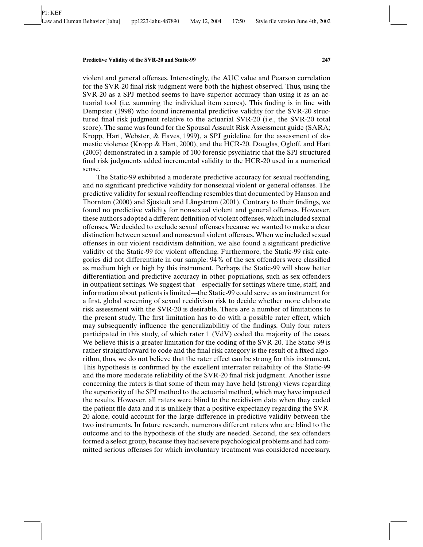violent and general offenses. Interestingly, the AUC value and Pearson correlation for the SVR-20 final risk judgment were both the highest observed. Thus, using the SVR-20 as a SPJ method seems to have superior accuracy than using it as an actuarial tool (i.e. summing the individual item scores). This finding is in line with Dempster (1998) who found incremental predictive validity for the SVR-20 structured final risk judgment relative to the actuarial SVR-20 (i.e., the SVR-20 total score). The same was found for the Spousal Assault Risk Assessment guide (SARA; Kropp, Hart, Webster, & Eaves, 1999), a SPJ guideline for the assessment of domestic violence (Kropp & Hart, 2000), and the HCR-20. Douglas, Ogloff, and Hart (2003) demonstrated in a sample of 100 forensic psychiatric that the SPJ structured final risk judgments added incremental validity to the HCR-20 used in a numerical sense.

The Static-99 exhibited a moderate predictive accuracy for sexual reoffending, and no significant predictive validity for nonsexual violent or general offenses. The predictive validity for sexual reoffending resembles that documented by Hanson and Thornton  $(2000)$  and Sjöstedt and Långström  $(2001)$ . Contrary to their findings, we found no predictive validity for nonsexual violent and general offenses. However, these authors adopted a different definition of violent offenses, which included sexual offenses. We decided to exclude sexual offenses because we wanted to make a clear distinction between sexual and nonsexual violent offenses. When we included sexual offenses in our violent recidivism definition, we also found a significant predictive validity of the Static-99 for violent offending. Furthermore, the Static-99 risk categories did not differentiate in our sample: 94% of the sex offenders were classified as medium high or high by this instrument. Perhaps the Static-99 will show better differentiation and predictive accuracy in other populations, such as sex offenders in outpatient settings. We suggest that—especially for settings where time, staff, and information about patients is limited—the Static-99 could serve as an instrument for a first, global screening of sexual recidivism risk to decide whether more elaborate risk assessment with the SVR-20 is desirable. There are a number of limitations to the present study. The first limitation has to do with a possible rater effect, which may subsequently influence the generalizabilitiy of the findings. Only four raters participated in this study, of which rater 1 (VdV) coded the majority of the cases. We believe this is a greater limitation for the coding of the SVR-20. The Static-99 is rather straightforward to code and the final risk category is the result of a fixed algorithm, thus, we do not believe that the rater effect can be strong for this instrument. This hypothesis is confirmed by the excellent interrater reliability of the Static-99 and the more moderate reliability of the SVR-20 final risk judgment. Another issue concerning the raters is that some of them may have held (strong) views regarding the superiority of the SPJ method to the actuarial method, which may have impacted the results. However, all raters were blind to the recidivism data when they coded the patient file data and it is unlikely that a positive expectancy regarding the SVR-20 alone, could account for the large difference in predictive validity between the two instruments. In future research, numerous different raters who are blind to the outcome and to the hypothesis of the study are needed. Second, the sex offenders formed a select group, because they had severe psychological problems and had committed serious offenses for which involuntary treatment was considered necessary.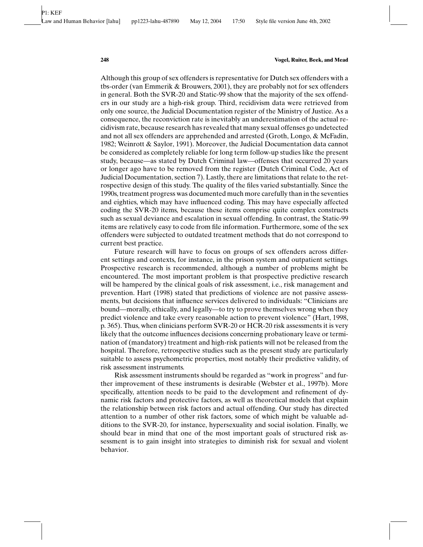Although this group of sex offenders is representative for Dutch sex offenders with a tbs-order (van Emmerik & Brouwers, 2001), they are probably not for sex offenders in general. Both the SVR-20 and Static-99 show that the majority of the sex offenders in our study are a high-risk group. Third, recidivism data were retrieved from only one source, the Judicial Documentation register of the Ministry of Justice. As a consequence, the reconviction rate is inevitably an underestimation of the actual recidivism rate, because research has revealed that many sexual offenses go undetected and not all sex offenders are apprehended and arrested (Groth, Longo, & McFadin, 1982; Weinrott & Saylor, 1991). Moreover, the Judicial Documentation data cannot be considered as completely reliable for long term follow-up studies like the present study, because—as stated by Dutch Criminal law—offenses that occurred 20 years or longer ago have to be removed from the register (Dutch Criminal Code, Act of Judicial Documentation, section 7). Lastly, there are limitations that relate to the retrospective design of this study. The quality of the files varied substantially. Since the 1990s, treatment progress was documented much more carefully than in the seventies and eighties, which may have influenced coding. This may have especially affected coding the SVR-20 items, because these items comprise quite complex constructs such as sexual deviance and escalation in sexual offending. In contrast, the Static-99 items are relatively easy to code from file information. Furthermore, some of the sex offenders were subjected to outdated treatment methods that do not correspond to current best practice.

Future research will have to focus on groups of sex offenders across different settings and contexts, for instance, in the prison system and outpatient settings. Prospective research is recommended, although a number of problems might be encountered. The most important problem is that prospective predictive research will be hampered by the clinical goals of risk assessment, i.e., risk management and prevention. Hart (1998) stated that predictions of violence are not passive assessments, but decisions that influence services delivered to individuals: "Clinicians are bound—morally, ethically, and legally—to try to prove themselves wrong when they predict violence and take every reasonable action to prevent violence" (Hart, 1998, p. 365). Thus, when clinicians perform SVR-20 or HCR-20 risk assessments it is very likely that the outcome influences decisions concerning probationary leave or termination of (mandatory) treatment and high-risk patients will not be released from the hospital. Therefore, retrospective studies such as the present study are particularly suitable to assess psychometric properties, most notably their predictive validity, of risk assessment instruments.

Risk assessment instruments should be regarded as "work in progress" and further improvement of these instruments is desirable (Webster et al., 1997b). More specifically, attention needs to be paid to the development and refinement of dynamic risk factors and protective factors, as well as theoretical models that explain the relationship between risk factors and actual offending. Our study has directed attention to a number of other risk factors, some of which might be valuable additions to the SVR-20, for instance, hypersexuality and social isolation. Finally, we should bear in mind that one of the most important goals of structured risk assessment is to gain insight into strategies to diminish risk for sexual and violent behavior.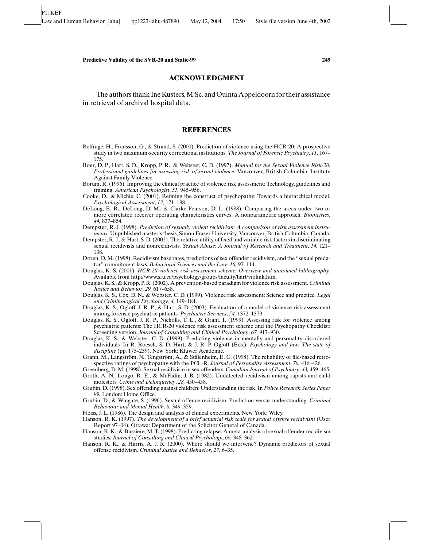#### **ACKNOWLEDGMENT**

The authors thank Ine Kusters, M.Sc. and Quinta Appeldoorn for their assistance in retrieval of archival hospital data.

# **REFERENCES**

- Belfrage, H., Fransson, G., & Strand, S. (2000). Prediction of violence using the HCR-20: A prospective study in two maximum-security correctional institutions. *The Journal of Forensic Psychiatry*, *11,* 167– 175.
- Boer, D. P., Hart, S. D., Kropp, P. R., & Webster, C. D. (1997). *Manual for the Sexual Violence Risk-20. Professional guidelines for assessing risk of sexual violence*. Vancouver, British Columbia: Institute Against Family Violence.
- Borum, R. (1996). Improving the clinical practice of violence risk assessment: Technology, guidelines and training. *American Psychologist*, *51,* 945–956.
- Cooke, D., & Michie, C. (2001). Refining the construct of psychopathy: Towards a hierarchical model. *Psychological Assessment*, *13,* 171–188.
- DeLong, E. R., DeLong, D. M., & Clarke-Pearson, D. L. (1988). Comparing the areas under two or more correlated receiver operating characteristics curves: A nonparametric approach. *Biometrics*, *44,* 837–854.
- Dempster, R. J. (1998). *Prediction of sexually violent recidivism: A comparison of risk assessment instruments*. Unpublished master's thesis, Simon Fraser University, Vancouver, British Columbia, Canada.
- Dempster, R. J., & Hart, S. D. (2002). The relative utility of fixed and variable risk factors in discriminating sexual recidivists and nonrecidivists. *Sexual Abuse: A Journal of Research and Treatment*, *14,* 121– 138.
- Doren, D. M. (1998). Recidivism base rates, predictions of sex offender recidivism, and the "sexual predator" commitment laws. *Behavioral Sciences and the Law*, *16,* 97–114.
- Douglas, K. S. (2001). *HCR-20 violence risk assessment scheme: Overview and annotated bibliography*. Available from http://www.sfu.ca/psychology/groups/faculty/hart/violink.htm.
- Douglas, K. S., & Kropp, P. R. (2002). A prevention-based paradigm for violence risk assessment. *Criminal Justice and Behavior*, *29,* 617–658.
- Douglas, K. S., Cox, D. N., & Webster, C. D. (1999). Violence risk assessment: Science and practice. *Legal and Criminological Psychology*, *4,* 149–184.
- Douglas, K. S., Ogloff, J. R. P., & Hart, S. D. (2003). Evaluation of a model of violence risk assessment among forensic psychiatric patients. *Psychiatric Services*, *54,* 1372–1379.
- Douglas, K. S., Ogloff, J. R. P., Nicholls, T. L., & Grant, I. (1999). Assessing risk for violence among psychiatric patients: The HCR-20 violence risk assessment scheme and the Psychopathy Checklist: Screening version. *Journal of Consulting and Clinical Psychology*, *67,* 917–930.
- Douglas, K. S., & Webster, C. D. (1999). Predicting violence in mentally and personality disordered individuals. In R. Roesch, S. D. Hart, & J. R. P. Ogloff (Eds.), *Psychology and law: The state of discipline* (pp. 175–239). New York: Kluwer Academic.
- Grann, M., Långström, N., Tengström, A., & Stålenheim, E. G. (1998). The reliability of file-based retrospective ratings of psychopathy with the PCL-R. *Journal of Personality Assessment*, *70,* 416–426.
- Greenberg, D. M. (1998). Sexual recidivism in sex offenders. *Canadian Journal of Psychiatry*, *43,* 459–465.
- Groth, A. N., Longo, R. E., & McFadin, J. B. (1982). Undetected recidivism among rapists and child molesters. *Crime and Delinquency*, *28,* 450–458.
- Grubin, D. (1998). Sex offending against children: Understanding the risk. In *Police Research Series Paper 99.* London: Home Office.
- Grubin, D., & Wingate, S. (1996). Sexual offence recidivism: Prediction versus understanding. *Criminal Behaviour and Mental Health*, *6,* 349–359.
- Fleiss, J. L. (1986). The design and analysis of clinical experiments. New York: Wiley.
- Hanson, R. K. (1997). *The development of a brief actuarial risk scale for sexual offense recidivism* (User Report 97–04). Ottawa: Department of the Solicitor General of Canada.
- Hanson, R. K., & Bussière, M. T. (1998). Predicting relapse: A meta-analysis of sexual offender recidivism studies. *Journal of Consulting and Clinical Psychology*, *66,* 348–362.
- Hanson, R. K., & Harris, A. J. R. (2000). Where should we intervene? Dynamic predictors of sexual offense recidivism. *Criminal Justice and Behavior*, *27,* 6–35.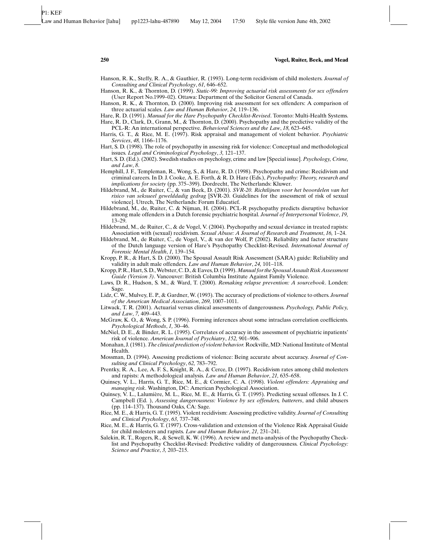- Hanson, R. K., Steffy, R. A., & Gauthier, R. (1993). Long-term recidivism of child molesters. *Journal of Consulting and Clinical Psychology*, *61,* 646–652.
- Hanson, R. K., & Thornton, D. (1999). *Static-99: Improving actuarial risk assessments for sex offenders* (User Report No.1999–02). Ottawa: Department of the Solicitor General of Canada.
- Hanson, R. K., & Thornton, D. (2000). Improving risk assessment for sex offenders: A comparison of three actuarial scales. *Law and Human Behavior*, *24,* 119–136.
- Hare, R. D. (1991). *Manual for the Hare Psychopathy Checklist-Revised*. Toronto: Multi-Health Systems. Hare, R. D., Clark, D., Grann, M., & Thornton, D. (2000). Psychopathy and the predictive validity of the PCL-R: An international perspective. *Behavioral Sciences and the Law*, *18,* 623–645.
- Harris, G. T., & Rice, M. E. (1997). Risk appraisal and management of violent behavior. *Psychiatric Services*, *48,* 1166–1176.
- Hart, S. D. (1998). The role of psychopathy in assessing risk for violence: Conceptual and methodological issues. *Legal and Criminological Psychology*, *3,* 121–137.
- Hart, S. D. (Ed.). (2002). Swedish studies on psychology, crime and law [Special issue]. *Psychology, Crime, and Law*, *8*.
- Hemphill, J. F., Templeman, R., Wong, S., & Hare, R. D. (1998). Psychopathy and crime: Recidivism and criminal careers. In D. J. Cooke, A. E. Forth, & R. D. Hare (Eds.), *Psychopathy: Theory, research and implications for society* (pp. 375–399). Dordrecht, The Netherlands: Kluwer.
- Hildebrand, M., de Ruiter, C., & van Beek, D. (2001). *SVR-20. Richtlijnen voor het beoordelen van het risico van seksueel gewelddadig gedrag* [SVR-20. Guidelines for the assessment of risk of sexual violence]. Utrech, The Netherlands: Forum Educatief.
- Hildebrand, M., de, Ruiter, C. & Nijman, H. (2004). PCL-R psychopathy predicts disruptive behavior among male offenders in a Dutch forensic psychiatric hospital. *Journal of Interpersonal Violence*, *19,* 13–29.
- Hildebrand, M., de Ruiter, C., & de Vogel, V. (2004). Psychopathy and sexual deviance in treated rapists: Association with (sexual) recidivism. *Sexual Abuse: A Journal of Research and Treatment*, *16,* 1–24.
- Hildebrand, M., de Ruiter, C., de Vogel, V., & van der Wolf, P. (2002). Reliability and factor structure of the Dutch language version of Hare's Psychopathy Checklist-Revised. *International Journal of Forensic Mental Health*, *1,* 139–154.
- Kropp, P. R., & Hart, S. D. (2000). The Spousal Assault Risk Assessment (SARA) guide: Reliability and validity in adult male offenders. *Law and Human Behavior*, *24,* 101–118.
- Kropp, P. R., Hart, S. D., Webster, C. D., & Eaves, D. (1999).*Manual for the Spousal Assault Risk Assessment Guide (Version 3)*. Vancouver: British Columbia Institute Against Family Violence.
- Laws, D. R., Hudson, S. M., & Ward, T. (2000). *Remaking relapse prevention: A sourcebook*. Londen: Sage.
- Lidz, C. W., Mulvey, E. P., & Gardner, W. (1993). The accuracy of predictions of violence to others. *Journal of the American Medical Association*, *269,* 1007–1011.
- Litwack, T. R. (2001). Actuarial versus clinical assessments of dangerousness. *Psychology, Public Policy, and Law*, *7,* 409–443.
- McGraw, K. O., & Wong, S. P. (1996). Forming inferences about some intraclass correlation coefficients. *Psychological Methods*, *1,* 30–46.
- McNiel, D. E., & Binder, R. L. (1995). Correlates of accuracy in the assessment of psychiatric inpatients' risk of violence. *American Journal of Psychiatry*, *152,* 901–906.
- Monahan, J. (1981).*The clinical prediction of violent behavior.* Rockville, MD: National Institute of Mental Health.
- Mossman, D. (1994). Assessing predictions of violence: Being accurate about accuracy. *Journal of Consulting and Clinical Psychology*, *62,* 783–792.
- Prentky, R. A., Lee, A. F. S., Knight, R. A., & Cerce, D. (1997). Recidivism rates among child molesters and rapists: A methodological analysis. *Law and Human Behavior*, *21,* 635–658.
- Quinsey, V. L., Harris, G. T., Rice, M. E., & Cormier, C. A. (1998). *Violent offenders: Appraising and managing risk*. Washington, DC: American Psychological Association.
- Quinsey, V. L., Lalumière, M. L., Rice, M. E., & Harris, G. T. (1995). Predicting sexual offenses. In J. C. Campbell (Ed. ), *Assessing dangerousness: Violence by sex offenders, batterers*, and child abusers (pp. 114–137). Thousand Oaks, CA: Sage.
- Rice, M. E., & Harris, G. T. (1995). Violent recidivism: Assessing predictive validity. *Journal of Consulting and Clinical Psychology*, *63,* 737–748.
- Rice, M. E., & Harris, G. T. (1997). Cross-validation and extension of the Violence Risk Appraisal Guide for child molesters and rapists. *Law and Human Behavior*, *21,* 231–241.
- Salekin, R. T., Rogers, R., & Sewell, K. W. (1996). A review and meta-analysis of the Psychopathy Checklist and Psychopathy Checklist-Revised: Predictive validity of dangerousness. *Clinical Psychology: Science and Practice*, *3,* 203–215.